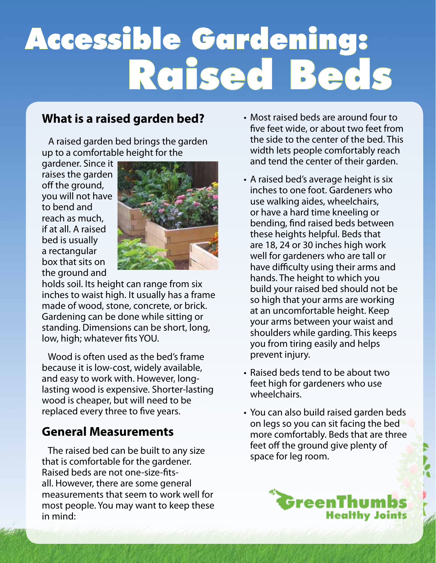# Accessible Gardening: Raised Beds

### **What is a raised garden bed?**

 A raised garden bed brings the garden up to a comfortable height for the

gardener. Since it raises the garden off the ground, you will not have to bend and reach as much, if at all. A raised bed is usually a rectangular box that sits on the ground and



holds soil. Its height can range from six inches to waist high. It usually has a frame made of wood, stone, concrete, or brick. Gardening can be done while sitting or standing. Dimensions can be short, long, low, high; whatever fits YOU.

 Wood is often used as the bed's frame because it is low-cost, widely available, and easy to work with. However, longlasting wood is expensive. Shorter-lasting wood is cheaper, but will need to be replaced every three to five years.

#### **General Measurements**

 The raised bed can be built to any size that is comfortable for the gardener. Raised beds are not one-size-fitsall. However, there are some general measurements that seem to work well for most people. You may want to keep these in mind:

- Most raised beds are around four to five feet wide, or about two feet from the side to the center of the bed. This width lets people comfortably reach and tend the center of their garden.
- A raised bed's average height is six inches to one foot. Gardeners who use walking aides, wheelchairs, or have a hard time kneeling or bending, find raised beds between these heights helpful. Beds that are 18, 24 or 30 inches high work well for gardeners who are tall or have difficulty using their arms and hands. The height to which you build your raised bed should not be so high that your arms are working at an uncomfortable height. Keep your arms between your waist and shoulders while garding. This keeps you from tiring easily and helps prevent injury.
- Raised beds tend to be about two feet high for gardeners who use wheelchairs.
- You can also build raised garden beds on legs so you can sit facing the bed more comfortably. Beds that are three feet off the ground give plenty of space for leg room.

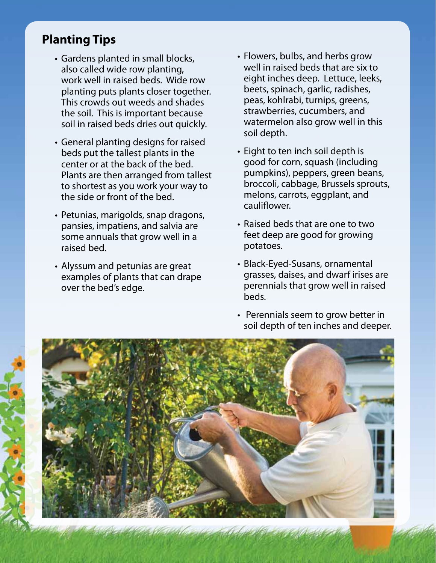## **Planting Tips**

- Gardens planted in small blocks, also called wide row planting, work well in raised beds. Wide row planting puts plants closer together. This crowds out weeds and shades the soil. This is important because soil in raised beds dries out quickly.
- General planting designs for raised beds put the tallest plants in the center or at the back of the bed. Plants are then arranged from tallest to shortest as you work your way to the side or front of the bed.
- Petunias, marigolds, snap dragons, pansies, impatiens, and salvia are some annuals that grow well in a raised bed.
- Alyssum and petunias are great examples of plants that can drape over the bed's edge.
- Flowers, bulbs, and herbs grow well in raised beds that are six to eight inches deep. Lettuce, leeks, beets, spinach, garlic, radishes, peas, kohlrabi, turnips, greens, strawberries, cucumbers, and watermelon also grow well in this soil depth.
- Eight to ten inch soil depth is good for corn, squash (including pumpkins), peppers, green beans, broccoli, cabbage, Brussels sprouts, melons, carrots, eggplant, and cauliflower.
- Raised beds that are one to two feet deep are good for growing potatoes.
- Black-Eyed-Susans, ornamental grasses, daises, and dwarf irises are perennials that grow well in raised beds.
- Perennials seem to grow better in soil depth of ten inches and deeper.

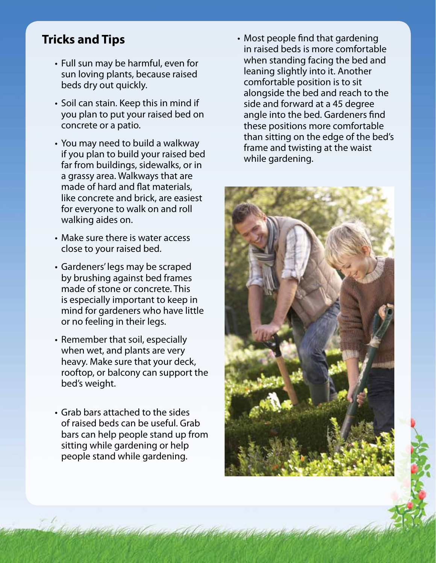### **Tricks and Tips**

- Full sun may be harmful, even for sun loving plants, because raised beds dry out quickly.
- Soil can stain. Keep this in mind if you plan to put your raised bed on concrete or a patio.
- You may need to build a walkway if you plan to build your raised bed far from buildings, sidewalks, or in a grassy area. Walkways that are made of hard and flat materials, like concrete and brick, are easiest for everyone to walk on and roll walking aides on.
- Make sure there is water access close to your raised bed.
- Gardeners' legs may be scraped by brushing against bed frames made of stone or concrete. This is especially important to keep in mind for gardeners who have little or no feeling in their legs.
- Remember that soil, especially when wet, and plants are very heavy. Make sure that your deck, rooftop, or balcony can support the bed's weight.
- Grab bars attached to the sides of raised beds can be useful. Grab bars can help people stand up from sitting while gardening or help people stand while gardening.

• Most people find that gardening in raised beds is more comfortable when standing facing the bed and leaning slightly into it. Another comfortable position is to sit alongside the bed and reach to the side and forward at a 45 degree angle into the bed. Gardeners find these positions more comfortable than sitting on the edge of the bed's frame and twisting at the waist while gardening.